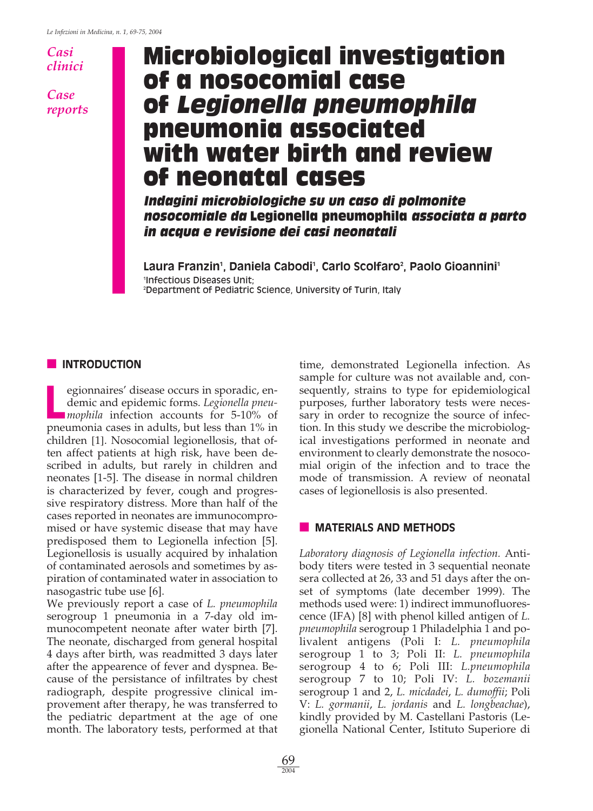### *Casi clinici*

*Case reports*

# **Microbiological investigation of a nosocomial case of Legionella pneumophila pneumonia associated with water birth and review of neonatal cases**

**Indagini microbiologiche su un caso di polmonite nosocomiale da Legionella pneumophila associata a parto in acqua e revisione dei casi neonatali**

**Laura Franzin1 , Daniela Cabodi1 , Carlo Scolfaro2 , Paolo Gioannini1** 1 Infectious Diseases Unit; 2 Department of Pediatric Science, University of Turin, Italy

#### **■ INTRODUCTION**

**L** egionnaires' disease occurs in sporadic, endemic and epidemic forms. *Legionella pneumophila* infection accounts for 5-10% of pneumonia cases in adults, but less than 1% in children [1]. Nosocomial legionellosis, that often affect patients at high risk, have been described in adults, but rarely in children and neonates [1-5]. The disease in normal children is characterized by fever, cough and progressive respiratory distress. More than half of the cases reported in neonates are immunocompromised or have systemic disease that may have predisposed them to Legionella infection [5]. Legionellosis is usually acquired by inhalation of contaminated aerosols and sometimes by aspiration of contaminated water in association to nasogastric tube use [6].

We previously report a case of *L. pneumophila* serogroup 1 pneumonia in a 7-day old immunocompetent neonate after water birth [7]. The neonate, discharged from general hospital 4 days after birth, was readmitted 3 days later after the appearence of fever and dyspnea. Because of the persistance of infiltrates by chest radiograph, despite progressive clinical improvement after therapy, he was transferred to the pediatric department at the age of one month. The laboratory tests, performed at that

time, demonstrated Legionella infection. As sample for culture was not available and, consequently, strains to type for epidemiological purposes, further laboratory tests were necessary in order to recognize the source of infection. In this study we describe the microbiological investigations performed in neonate and environment to clearly demonstrate the nosocomial origin of the infection and to trace the mode of transmission. A review of neonatal cases of legionellosis is also presented.

#### **■ MATERIALS AND METHODS**

*Laboratory diagnosis of Legionella infection.* Antibody titers were tested in 3 sequential neonate sera collected at 26, 33 and 51 days after the onset of symptoms (late december 1999). The methods used were: 1) indirect immunofluorescence (IFA) [8] with phenol killed antigen of *L. pneumophila* serogroup 1 Philadelphia 1 and polivalent antigens (Poli I: *L. pneumophila* serogroup 1 to 3; Poli II: *L. pneumophila* serogroup 4 to 6; Poli III: *L.pneumophila* serogroup 7 to 10; Poli IV: *L. bozemanii* serogroup 1 and 2, *L. micdadei*, *L. dumoffii*; Poli V: *L. gormanii*, *L. jordanis* and *L. longbeachae*), kindly provided by M. Castellani Pastoris (Legionella National Center, Istituto Superiore di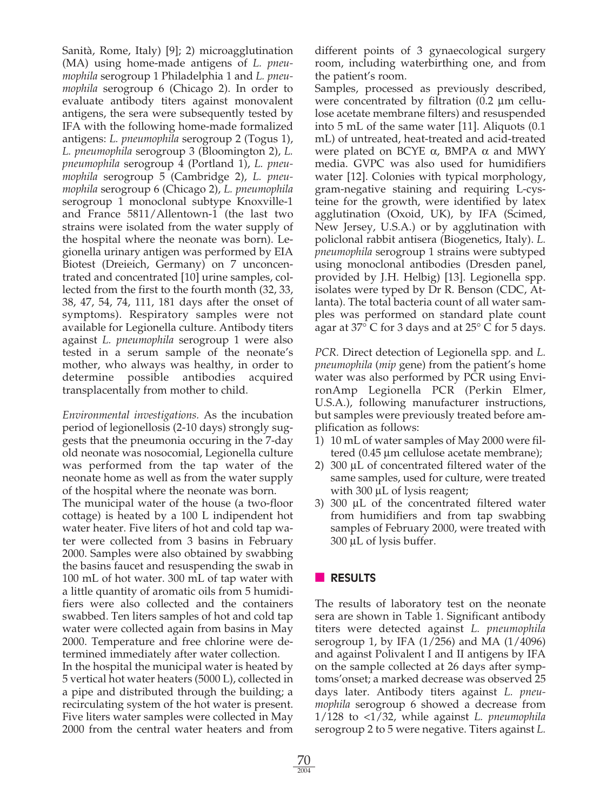Sanità, Rome, Italy) [9]; 2) microagglutination (MA) using home-made antigens of *L. pneumophila* serogroup 1 Philadelphia 1 and *L. pneumophila* serogroup 6 (Chicago 2). In order to evaluate antibody titers against monovalent antigens, the sera were subsequently tested by IFA with the following home-made formalized antigens: *L. pneumophila* serogroup 2 (Togus 1), *L. pneumophila* serogroup 3 (Bloomington 2), *L. pneumophila* serogroup 4 (Portland 1), *L. pneumophila* serogroup 5 (Cambridge 2), *L. pneumophila* serogroup 6 (Chicago 2), *L. pneumophila* serogroup 1 monoclonal subtype Knoxville-1 and France 5811/Allentown-1 (the last two strains were isolated from the water supply of the hospital where the neonate was born). Legionella urinary antigen was performed by EIA Biotest (Dreieich, Germany) on 7 unconcentrated and concentrated [10] urine samples, collected from the first to the fourth month (32, 33, 38, 47, 54, 74, 111, 181 days after the onset of symptoms). Respiratory samples were not available for Legionella culture. Antibody titers against *L. pneumophila* serogroup 1 were also tested in a serum sample of the neonate's mother, who always was healthy, in order to determine possible antibodies acquired transplacentally from mother to child.

*Environmental investigations.* As the incubation period of legionellosis (2-10 days) strongly suggests that the pneumonia occuring in the 7-day old neonate was nosocomial, Legionella culture was performed from the tap water of the neonate home as well as from the water supply of the hospital where the neonate was born.

The municipal water of the house (a two-floor cottage) is heated by a 100 L indipendent hot water heater. Five liters of hot and cold tap water were collected from 3 basins in February 2000. Samples were also obtained by swabbing the basins faucet and resuspending the swab in 100 mL of hot water. 300 mL of tap water with a little quantity of aromatic oils from 5 humidifiers were also collected and the containers swabbed. Ten liters samples of hot and cold tap water were collected again from basins in May 2000. Temperature and free chlorine were determined immediately after water collection.

In the hospital the municipal water is heated by 5 vertical hot water heaters (5000 L), collected in a pipe and distributed through the building; a recirculating system of the hot water is present. Five liters water samples were collected in May 2000 from the central water heaters and from different points of 3 gynaecological surgery room, including waterbirthing one, and from the patient's room.

Samples, processed as previously described, were concentrated by filtration (0.2 µm cellulose acetate membrane filters) and resuspended into 5 mL of the same water [11]. Aliquots (0.1 mL) of untreated, heat-treated and acid-treated were plated on BCYE  $\alpha$ , BMPA  $\alpha$  and MWY media. GVPC was also used for humidifiers water [12]. Colonies with typical morphology, gram-negative staining and requiring L-cysteine for the growth, were identified by latex agglutination (Oxoid, UK), by IFA (Scimed, New Jersey, U.S.A.) or by agglutination with policlonal rabbit antisera (Biogenetics, Italy). *L. pneumophila* serogroup 1 strains were subtyped using monoclonal antibodies (Dresden panel, provided by J.H. Helbig) [13]. Legionella spp. isolates were typed by Dr R. Benson (CDC, Atlanta). The total bacteria count of all water samples was performed on standard plate count agar at 37° C for 3 days and at 25° C for 5 days.

*PCR.* Direct detection of Legionella spp*.* and *L. pneumophila* (*mip* gene) from the patient's home water was also performed by PCR using EnvironAmp Legionella PCR (Perkin Elmer, U.S.A.), following manufacturer instructions, but samples were previously treated before amplification as follows:

- 1) 10 mL of water samples of May 2000 were filtered (0.45 µm cellulose acetate membrane);
- 2) 300 µL of concentrated filtered water of the same samples, used for culture, were treated with 300  $\mu$ L of lysis reagent;
- 3) 300 µL of the concentrated filtered water from humidifiers and from tap swabbing samples of February 2000, were treated with 300 µL of lysis buffer.

# **■ RESULTS**

The results of laboratory test on the neonate sera are shown in Table 1. Significant antibody titers were detected against *L. pneumophila* serogroup 1, by IFA (1/256) and MA (1/4096) and against Polivalent I and II antigens by IFA on the sample collected at 26 days after symptoms'onset; a marked decrease was observed 25 days later. Antibody titers against *L. pneumophila* serogroup 6 showed a decrease from 1/128 to <1/32, while against *L. pneumophila* serogroup 2 to 5 were negative. Titers against *L.*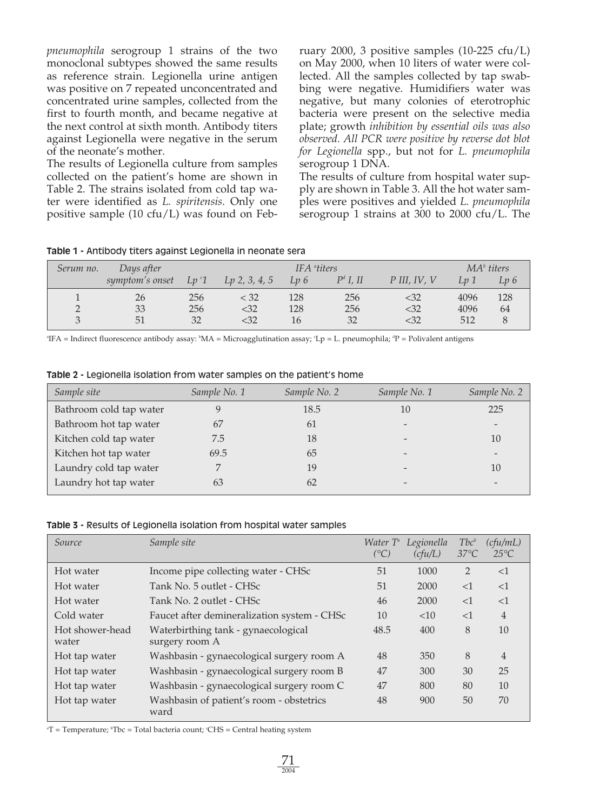*pneumophila* serogroup 1 strains of the two monoclonal subtypes showed the same results as reference strain. Legionella urine antigen was positive on 7 repeated unconcentrated and concentrated urine samples, collected from the first to fourth month, and became negative at the next control at sixth month. Antibody titers against Legionella were negative in the serum of the neonate's mother.

The results of Legionella culture from samples collected on the patient's home are shown in Table 2. The strains isolated from cold tap water were identified as *L. spiritensis*. Only one positive sample (10 cfu/L) was found on February 2000, 3 positive samples (10-225 cfu/L) on May 2000, when 10 liters of water were collected. All the samples collected by tap swabbing were negative. Humidifiers water was negative, but many colonies of eterotrophic bacteria were present on the selective media plate; growth *inhibition by essential oils was also observed. All PCR were positive by reverse dot blot for Legionella* spp., but not for *L. pneumophila* serogroup 1 DNA.

The results of culture from hospital water supply are shown in Table 3. All the hot water samples were positives and yielded *L. pneumophila* serogroup 1 strains at 300 to 2000 cfu/L. The

|  |  |  |  | Table 1 - Antibody titers against Legionella in neonate sera |  |  |  |
|--|--|--|--|--------------------------------------------------------------|--|--|--|
|--|--|--|--|--------------------------------------------------------------|--|--|--|

| Serum no. | Days after      |         | IFA <sup>a</sup> titers |     |             |                | MA <sup>b</sup> titers |      |
|-----------|-----------------|---------|-------------------------|-----|-------------|----------------|------------------------|------|
|           | symptom's onset | $Lp^c1$ | $Lp$ 2, 3, 4, 5         | Lp6 | $P^d$ I. II | $P$ III, IV, V | Lv 1                   | Lv 6 |
|           | 26              | 256     | < 32                    | 128 | 256         | <32            | 4096                   | 128  |
|           | 33              | 256     | $32$                    | 128 | 256         | <32            | 4096                   | 64   |
|           | 51              | 32      | $32$                    | 16  | 32          | <32            | 512                    |      |

°IFA = Indirect fluorescence antibody assay: °MA = Microagglutination assay; °Lp = L. pneumophila; °P = Polivalent antigens

| Sample site             | Sample No. 1 | Sample No. 2 | Sample No. 1 | Sample No. 2             |
|-------------------------|--------------|--------------|--------------|--------------------------|
| Bathroom cold tap water | 9            | 18.5         | 10           | 225                      |
| Bathroom hot tap water  | 67           | 61           |              | $\overline{\phantom{0}}$ |
| Kitchen cold tap water  | 7.5          | 18           |              | 10                       |
| Kitchen hot tap water   | 69.5         | 65           |              |                          |
| Laundry cold tap water  |              | 19           |              | 10                       |
| Laundry hot tap water   | 63           | 62           |              |                          |

**Table 2 -** Legionella isolation from water samples on the patient's home

#### **Table 3 -** Results of Legionella isolation from hospital water samples

| Source                   | Sample site                                           | Water $T^{\alpha}$<br>$({}^{\circ}C)$ | Legionella<br>(cfu/L) | $Tbc^b$<br>$37^{\circ}$ C | (cfu/mL)<br>$25^{\circ}C$ |
|--------------------------|-------------------------------------------------------|---------------------------------------|-----------------------|---------------------------|---------------------------|
| Hot water                | Income pipe collecting water - CHSc                   | 51                                    | 1000                  | $\overline{2}$            | <1                        |
| Hot water                | Tank No. 5 outlet - CHSc                              | 51                                    | 2000                  | <1                        | <1                        |
| Hot water                | Tank No. 2 outlet - CHSc                              | 46                                    | 2000                  | <1                        | <1                        |
| Cold water               | Faucet after demineralization system - CHSc           | 10                                    | <10                   | <1                        | 4                         |
| Hot shower-head<br>water | Waterbirthing tank - gynaecological<br>surgery room A | 48.5                                  | 400                   | 8                         | 10                        |
| Hot tap water            | Washbasin - gynaecological surgery room A             | 48                                    | 350                   | 8                         | $\overline{4}$            |
| Hot tap water            | Washbasin - gynaecological surgery room B             | 47                                    | 300                   | 30                        | 25                        |
| Hot tap water            | Washbasin - gynaecological surgery room C             | 47                                    | 800                   | 80                        | 10                        |
| Hot tap water            | Washbasin of patient's room - obstetrics<br>ward      | 48                                    | 900                   | 50                        | 70                        |

"T = Temperature; "Tbc = Total bacteria count; 'CHS = Central heating system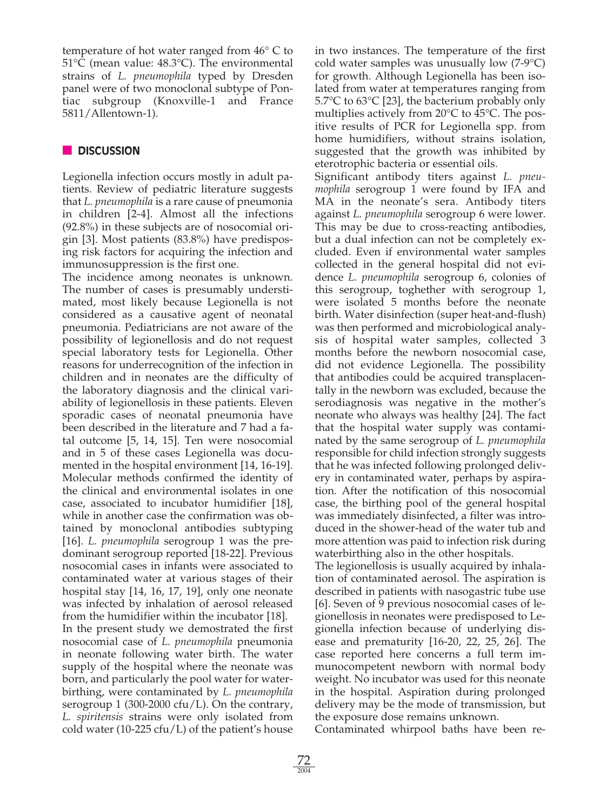temperature of hot water ranged from 46° C to 51°C (mean value: 48.3°C). The environmental strains of *L. pneumophila* typed by Dresden panel were of two monoclonal subtype of Pontiac subgroup (Knoxville-1 and France 5811/Allentown-1).

# **■ DISCUSSION**

Legionella infection occurs mostly in adult patients. Review of pediatric literature suggests that *L. pneumophila* is a rare cause of pneumonia in children [2-4]. Almost all the infections (92.8%) in these subjects are of nosocomial origin [3]. Most patients (83.8%) have predisposing risk factors for acquiring the infection and immunosuppression is the first one.

The incidence among neonates is unknown. The number of cases is presumably understimated, most likely because Legionella is not considered as a causative agent of neonatal pneumonia. Pediatricians are not aware of the possibility of legionellosis and do not request special laboratory tests for Legionella. Other reasons for underrecognition of the infection in children and in neonates are the difficulty of the laboratory diagnosis and the clinical variability of legionellosis in these patients. Eleven sporadic cases of neonatal pneumonia have been described in the literature and 7 had a fatal outcome [5, 14, 15]. Ten were nosocomial and in 5 of these cases Legionella was documented in the hospital environment [14, 16-19]. Molecular methods confirmed the identity of the clinical and environmental isolates in one case, associated to incubator humidifier [18], while in another case the confirmation was obtained by monoclonal antibodies subtyping [16]. *L. pneumophila* serogroup 1 was the predominant serogroup reported [18-22]. Previous nosocomial cases in infants were associated to contaminated water at various stages of their hospital stay [14, 16, 17, 19], only one neonate was infected by inhalation of aerosol released from the humidifier within the incubator [18].

In the present study we demostrated the first nosocomial case of *L. pneumophila* pneumonia in neonate following water birth. The water supply of the hospital where the neonate was born, and particularly the pool water for waterbirthing, were contaminated by *L. pneumophila* serogroup 1 (300-2000 cfu/L). On the contrary, *L. spiritensis* strains were only isolated from cold water (10-225 cfu/L) of the patient's house

in two instances. The temperature of the first cold water samples was unusually low (7-9°C) for growth. Although Legionella has been isolated from water at temperatures ranging from 5.7°C to 63°C [23], the bacterium probably only multiplies actively from 20°C to 45°C. The positive results of PCR for Legionella spp. from home humidifiers, without strains isolation, suggested that the growth was inhibited by eterotrophic bacteria or essential oils.

Significant antibody titers against *L. pneumophila* serogroup 1 were found by IFA and MA in the neonate's sera. Antibody titers against *L. pneumophila* serogroup 6 were lower. This may be due to cross-reacting antibodies, but a dual infection can not be completely excluded. Even if environmental water samples collected in the general hospital did not evidence *L. pneumophila* serogroup 6, colonies of this serogroup, toghether with serogroup 1, were isolated 5 months before the neonate birth. Water disinfection (super heat-and-flush) was then performed and microbiological analysis of hospital water samples, collected 3 months before the newborn nosocomial case, did not evidence Legionella. The possibility that antibodies could be acquired transplacentally in the newborn was excluded, because the serodiagnosis was negative in the mother's neonate who always was healthy [24]. The fact that the hospital water supply was contaminated by the same serogroup of *L. pneumophila* responsible for child infection strongly suggests that he was infected following prolonged delivery in contaminated water, perhaps by aspiration. After the notification of this nosocomial case, the birthing pool of the general hospital was immediately disinfected, a filter was introduced in the shower-head of the water tub and more attention was paid to infection risk during waterbirthing also in the other hospitals.

The legionellosis is usually acquired by inhalation of contaminated aerosol. The aspiration is described in patients with nasogastric tube use [6]. Seven of 9 previous nosocomial cases of legionellosis in neonates were predisposed to Legionella infection because of underlying disease and prematurity [16-20, 22, 25, 26]. The case reported here concerns a full term immunocompetent newborn with normal body weight. No incubator was used for this neonate in the hospital. Aspiration during prolonged delivery may be the mode of transmission, but the exposure dose remains unknown.

Contaminated whirpool baths have been re-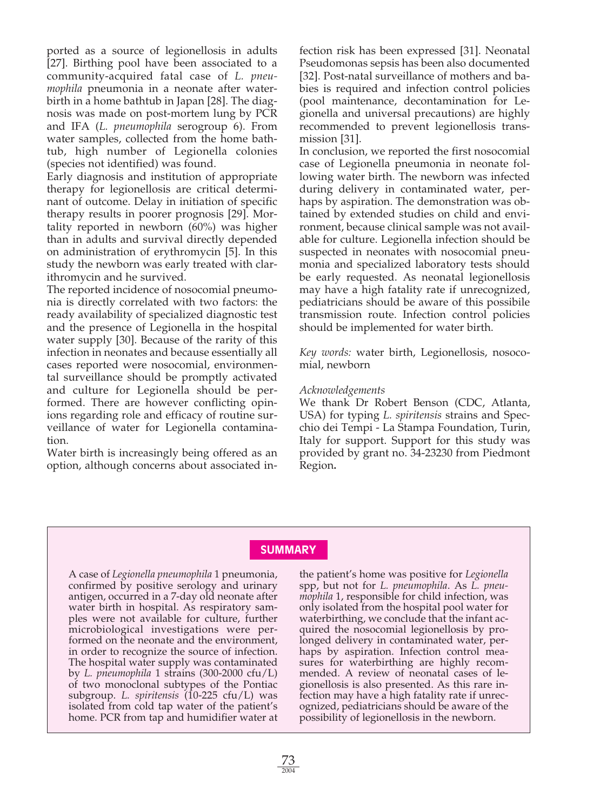ported as a source of legionellosis in adults [27]. Birthing pool have been associated to a community-acquired fatal case of *L. pneumophila* pneumonia in a neonate after waterbirth in a home bathtub in Japan [28]. The diagnosis was made on post-mortem lung by PCR and IFA (*L. pneumophila* serogroup 6). From water samples, collected from the home bathtub, high number of Legionella colonies (species not identified) was found.

Early diagnosis and institution of appropriate therapy for legionellosis are critical determinant of outcome. Delay in initiation of specific therapy results in poorer prognosis [29]. Mortality reported in newborn (60%) was higher than in adults and survival directly depended on administration of erythromycin [5]. In this study the newborn was early treated with clarithromycin and he survived.

The reported incidence of nosocomial pneumonia is directly correlated with two factors: the ready availability of specialized diagnostic test and the presence of Legionella in the hospital water supply [30]. Because of the rarity of this infection in neonates and because essentially all cases reported were nosocomial, environmental surveillance should be promptly activated and culture for Legionella should be performed. There are however conflicting opinions regarding role and efficacy of routine surveillance of water for Legionella contamination.

Water birth is increasingly being offered as an option, although concerns about associated in-

fection risk has been expressed [31]. Neonatal Pseudomonas sepsis has been also documented [32]. Post-natal surveillance of mothers and babies is required and infection control policies (pool maintenance, decontamination for Legionella and universal precautions) are highly recommended to prevent legionellosis transmission [31].

In conclusion, we reported the first nosocomial case of Legionella pneumonia in neonate following water birth. The newborn was infected during delivery in contaminated water, perhaps by aspiration. The demonstration was obtained by extended studies on child and environment, because clinical sample was not available for culture. Legionella infection should be suspected in neonates with nosocomial pneumonia and specialized laboratory tests should be early requested. As neonatal legionellosis may have a high fatality rate if unrecognized, pediatricians should be aware of this possibile transmission route. Infection control policies should be implemented for water birth.

*Key words:* water birth, Legionellosis, nosocomial, newborn

#### *Acknowledgements*

We thank Dr Robert Benson (CDC, Atlanta, USA) for typing *L. spiritensis* strains and Specchio dei Tempi - La Stampa Foundation, Turin, Italy for support. Support for this study was provided by grant no. 34-23230 from Piedmont Region**.**

# **SUMMARY**

A case of *Legionella pneumophila* 1 pneumonia, confirmed by positive serology and urinary antigen, occurred in a 7-day old neonate after water birth in hospital. As respiratory samples were not available for culture, further microbiological investigations were performed on the neonate and the environment, in order to recognize the source of infection. The hospital water supply was contaminated by *L. pneumophila* 1 strains (300-2000 cfu/L) of two monoclonal subtypes of the Pontiac subgroup. *L. spiritensis* (10-225 cfu/L) was isolated from cold tap water of the patient's home. PCR from tap and humidifier water at

the patient's home was positive for *Legionella* spp, but not for *L. pneumophila*. As *L. pneumophila* 1, responsible for child infection, was only isolated from the hospital pool water for waterbirthing, we conclude that the infant acquired the nosocomial legionellosis by prolonged delivery in contaminated water, perhaps by aspiration. Infection control measures for waterbirthing are highly recommended. A review of neonatal cases of legionellosis is also presented. As this rare infection may have a high fatality rate if unrecognized, pediatricians should be aware of the possibility of legionellosis in the newborn.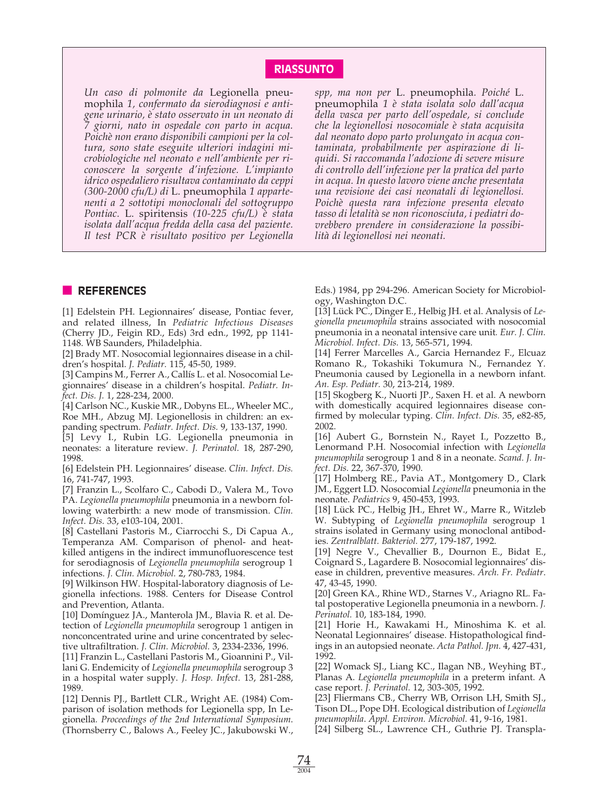# **RIASSUNTO**

*Un caso di polmonite da* Legionella pneumophila *1, confermato da sierodiagnosi e antigene urinario, è stato osservato in un neonato di 7 giorni, nato in ospedale con parto in acqua. Poichè non erano disponibili campioni per la coltura, sono state eseguite ulteriori indagini microbiologiche nel neonato e nell'ambiente per riconoscere la sorgente d'infezione. L'impianto idrico ospedaliero risultava contaminato da ceppi (300-2000 cfu/L) di* L. pneumophila *1 appartenenti a 2 sottotipi monoclonali del sottogruppo Pontiac.* L. spiritensis *(10-225 cfu/L) è stata isolata dall'acqua fredda della casa del paziente. Il test PCR è risultato positivo per Legionella* *spp, ma non per* L. pneumophila*. Poiché* L. pneumophila *1 è stata isolata solo dall'acqua della vasca per parto dell'ospedale, si conclude che la legionellosi nosocomiale è stata acquisita dal neonato dopo parto prolungato in acqua contaminata, probabilmente per aspirazione di liquidi. Si raccomanda l'adozione di severe misure di controllo dell'infezione per la pratica del parto in acqua. In questo lavoro viene anche presentata una revisione dei casi neonatali di legionellosi. Poichè questa rara infezione presenta elevato tasso di letalità se non riconosciuta, i pediatri dovrebbero prendere in considerazione la possibilità di legionellosi nei neonati.*

#### **■ REFERENCES**

[1] Edelstein PH. Legionnaires' disease, Pontiac fever, and related illness, In *Pediatric Infectious Diseases* (Cherry JD., Feigin RD., Eds) 3rd edn., 1992, pp 1141- 1148. WB Saunders, Philadelphia.

[2] Brady MT. Nosocomial legionnaires disease in a children's hospital. *J. Pediatr.* 115, 45-50, 1989.

[3] Campins M., Ferrer A., Callís L. et al. Nosocomial Legionnaires' disease in a children's hospital. *Pediatr. Infect. Dis. J.* 1, 228-234, 2000.

[4] Carlson NC., Kuskie MR., Dobyns EL., Wheeler MC., Roe MH., Abzug MJ. Legionellosis in children: an expanding spectrum. *Pediatr. Infect. Dis.* 9, 133-137, 1990.

[5] Levy I., Rubin LG. Legionella pneumonia in neonates: a literature review. *J. Perinatol.* 18, 287-290, 1998.

[6] Edelstein PH. Legionnaires' disease. *Clin. Infect. Dis.* 16, 741-747, 1993.

[7] Franzin L., Scolfaro C., Cabodi D., Valera M., Tovo PA. *Legionella pneumophila* pneumonia in a newborn following waterbirth: a new mode of transmission. *Clin. Infect. Dis.* 33, e103-104, 2001.

[8] Castellani Pastoris M., Ciarrocchi S., Di Capua A., Temperanza AM. Comparison of phenol- and heatkilled antigens in the indirect immunofluorescence test for serodiagnosis of *Legionella pneumophila* serogroup 1 infections. *J. Clin. Microbiol.* 2, 780-783, 1984.

[9] Wilkinson HW. Hospital-laboratory diagnosis of Legionella infections. 1988. Centers for Disease Control and Prevention, Atlanta.

[10] Domínguez JA., Manterola JM., Blavia R. et al. Detection of *Legionella pneumophila* serogroup 1 antigen in nonconcentrated urine and urine concentrated by selective ultrafiltration. *J. Clin. Microbiol.* 3, 2334-2336, 1996.

[11] Franzin L., Castellani Pastoris M., Gioannini P., Villani G. Endemicity of *Legionella pneumophila* serogroup 3 in a hospital water supply. *J. Hosp. Infect.* 13, 281-288, 1989.

[12] Dennis PJ., Bartlett CLR., Wright AE. (1984) Comparison of isolation methods for Legionella spp, In Legionella*. Proceedings of the 2nd International Symposium*. (Thornsberry C., Balows A., Feeley JC., Jakubowski W.,

Eds.) 1984, pp 294-296. American Society for Microbiology, Washington D.C.

[13] Lück PC., Dinger E., Helbig JH. et al. Analysis of *Legionella pneumophila* strains associated with nosocomial pneumonia in a neonatal intensive care unit*. Eur. J. Clin. Microbiol. Infect. Dis.* 13, 565-571, 1994.

[14] Ferrer Marcelles A., Garcia Hernandez F., Elcuaz Romano R., Tokashiki Tokumura N., Fernandez Y. Pneumonia caused by Legionella in a newborn infant. *An. Esp. Pediatr.* 30, 213-214, 1989.

[15] Skogberg K., Nuorti JP., Saxen H. et al. A newborn with domestically acquired legionnaires disease confirmed by molecular typing. *Clin. Infect. Dis.* 35, e82-85, 2002.

[16] Aubert G., Bornstein N., Rayet I., Pozzetto B., Lenormand P.H. Nosocomial infection with *Legionella pneumophila* serogroup 1 and 8 in a neonate. *Scand. J. Infect. Dis.* 22, 367-370, 1990.

[17] Holmberg RE., Pavia AT., Montgomery D., Clark JM., Eggert LD. Nosocomial *Legionella* pneumonia in the neonate. *Pediatrics* 9, 450-453, 1993.

[18] Lück PC., Helbig JH., Ehret W., Marre R., Witzleb W. Subtyping of *Legionella pneumophila* serogroup 1 strains isolated in Germany using monoclonal antibodies. *Zentralblatt. Bakteriol.* 277, 179-187, 1992.

[19] Negre V., Chevallier B., Dournon E., Bidat E., Coignard S., Lagardere B. Nosocomial legionnaires' disease in children, preventive measures. *Arch. Fr. Pediatr*. 47, 43-45, 1990.

[20] Green KA., Rhine WD., Starnes V., Ariagno RL. Fatal postoperative Legionella pneumonia in a newborn. *J. Perinatol.* 10, 183-184, 1990.

[21] Horie H., Kawakami H., Minoshima K. et al. Neonatal Legionnaires' disease. Histopathological findings in an autopsied neonate. *Acta Pathol. Jpn.* 4, 427-431, 1992.

[22] Womack SJ., Liang KC., Ilagan NB., Weyhing BT., Planas A. *Legionella pneumophila* in a preterm infant. A case report. *J. Perinatol.* 12, 303-305, 1992.

[23] Fliermans CB., Cherry WB, Orrison LH, Smith SJ., Tison DL., Pope DH. Ecological distribution of *Legionella pneumophila*. *Appl. Environ. Microbiol.* 41, 9-16, 1981.

[24] Silberg SL., Lawrence CH., Guthrie PJ. Transpla-